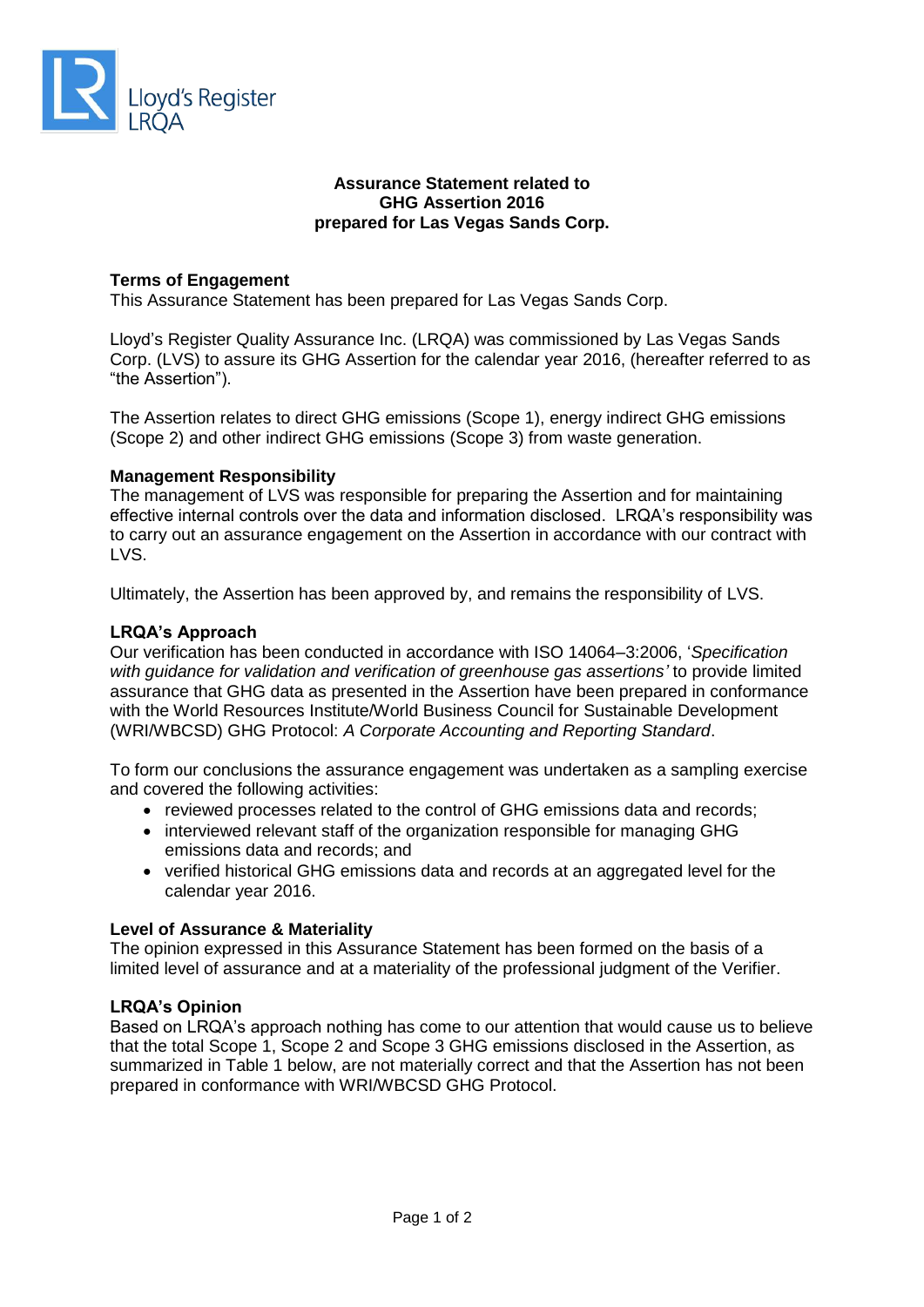

# **Assurance Statement related to GHG Assertion 2016 prepared for Las Vegas Sands Corp.**

# **Terms of Engagement**

This Assurance Statement has been prepared for Las Vegas Sands Corp.

Lloyd's Register Quality Assurance Inc. (LRQA) was commissioned by Las Vegas Sands Corp. (LVS) to assure its GHG Assertion for the calendar year 2016, (hereafter referred to as "the Assertion").

The Assertion relates to direct GHG emissions (Scope 1), energy indirect GHG emissions (Scope 2) and other indirect GHG emissions (Scope 3) from waste generation.

# **Management Responsibility**

The management of LVS was responsible for preparing the Assertion and for maintaining effective internal controls over the data and information disclosed. LRQA's responsibility was to carry out an assurance engagement on the Assertion in accordance with our contract with LVS.

Ultimately, the Assertion has been approved by, and remains the responsibility of LVS.

# **LRQA's Approach**

Our verification has been conducted in accordance with ISO 14064–3:2006, '*Specification with guidance for validation and verification of greenhouse gas assertions'* to provide limited assurance that GHG data as presented in the Assertion have been prepared in conformance with the World Resources Institute/World Business Council for Sustainable Development (WRI/WBCSD) GHG Protocol: *A Corporate Accounting and Reporting Standard*.

To form our conclusions the assurance engagement was undertaken as a sampling exercise and covered the following activities:

- reviewed processes related to the control of GHG emissions data and records;
- interviewed relevant staff of the organization responsible for managing GHG emissions data and records; and
- verified historical GHG emissions data and records at an aggregated level for the calendar year 2016.

#### **Level of Assurance & Materiality**

The opinion expressed in this Assurance Statement has been formed on the basis of a limited level of assurance and at a materiality of the professional judgment of the Verifier.

#### **LRQA's Opinion**

Based on LRQA's approach nothing has come to our attention that would cause us to believe that the total Scope 1, Scope 2 and Scope 3 GHG emissions disclosed in the Assertion, as summarized in Table 1 below, are not materially correct and that the Assertion has not been prepared in conformance with WRI/WBCSD GHG Protocol.